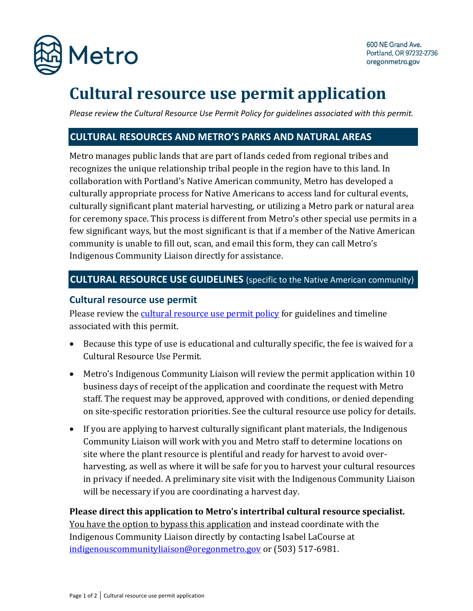

# **Cultural resource use permit application**

*Please review the Cultural Resource Use Permit Policy for guidelines associated with this permit.*

## **CULTURAL RESOURCES AND METRO'S PARKS AND NATURAL AREAS**

Metro manages public lands that are part of lands ceded from regional tribes and recognizes the unique relationship tribal people in the region have to this land. In collaboration with Portland's Native American community, Metro has developed a culturally appropriate process for Native Americans to access land for cultural events, culturally significant plant material harvesting, or utilizing a Metro park or natural area for ceremony space. This process is different from Metro's other special use permits in a few significant ways, but the most significant is that if a member of the Native American community is unable to fill out, scan, and email this form, they can call Metro's Indigenous Community Liaison directly for assistance.

## **CULTURAL RESOURCE USE GUIDELINES** (specific to the Native American community)

#### **Cultural resource use permit**

Please review the [cultural resource use permit policy](http://www.oregonmetro.gov/intertribalresources) for guidelines and timeline associated with this permit.

- Because this type of use is educational and culturally specific, the fee is waived for a Cultural Resource Use Permit.
- Metro's Indigenous Community Liaison will review the permit application within 10 business days of receipt of the application and coordinate the request with Metro staff. The request may be approved, approved with conditions, or denied depending on site-specific restoration priorities. See the cultural resource use policy for details.
- If you are applying to harvest culturally significant plant materials, the Indigenous Community Liaison will work with you and Metro staff to determine locations on site where the plant resource is plentiful and ready for harvest to avoid overharvesting, as well as where it will be safe for you to harvest your cultural resources in privacy if needed. A preliminary site visit with the Indigenous Community Liaison will be necessary if you are coordinating a harvest day.

#### **Please direct this application to Metro's intertribal cultural resource specialist.**

You have the option to bypass this application and instead coordinate with the Indigenous Community Liaison directly by contacting Isabel LaCourse at [indigenouscommunityliaison@oregonmetro.gov](mailto:indigenouscommunityliaison@oregonmetro.gov) or (503) 517-6981.